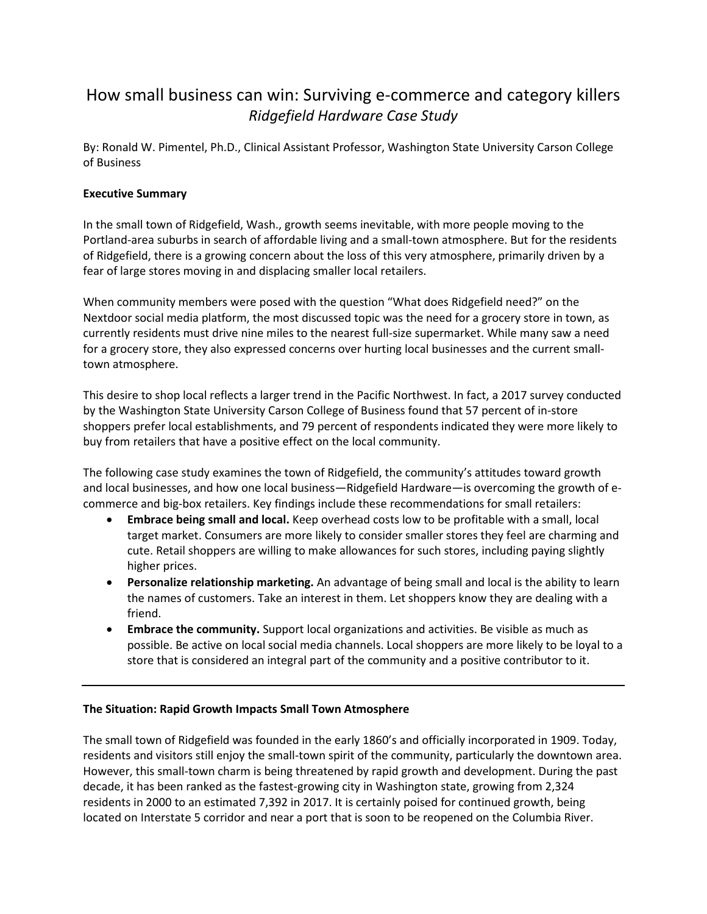# How small business can win: Surviving e-commerce and category killers *Ridgefield Hardware Case Study*

By: Ronald W. Pimentel, Ph.D., Clinical Assistant Professor, Washington State University Carson College of Business

# **Executive Summary**

In the small town of Ridgefield, Wash., growth seems inevitable, with more people moving to the Portland-area suburbs in search of affordable living and a small-town atmosphere. But for the residents of Ridgefield, there is a growing concern about the loss of this very atmosphere, primarily driven by a fear of large stores moving in and displacing smaller local retailers.

When community members were posed with the question "What does Ridgefield need?" on the Nextdoor social media platform, the most discussed topic was the need for a grocery store in town, as currently residents must drive nine miles to the nearest full-size supermarket. While many saw a need for a grocery store, they also expressed concerns over hurting local businesses and the current smalltown atmosphere.

This desire to shop local reflects a larger trend in the Pacific Northwest. In fact, a 2017 survey conducted by the Washington State University Carson College of Business found that 57 percent of in-store shoppers prefer local establishments, and 79 percent of respondents indicated they were more likely to buy from retailers that have a positive effect on the local community.

The following case study examines the town of Ridgefield, the community's attitudes toward growth and local businesses, and how one local business—Ridgefield Hardware—is overcoming the growth of ecommerce and big-box retailers. Key findings include these recommendations for small retailers:

- **Embrace being small and local.** Keep overhead costs low to be profitable with a small, local target market. Consumers are more likely to consider smaller stores they feel are charming and cute. Retail shoppers are willing to make allowances for such stores, including paying slightly higher prices.
- **Personalize relationship marketing.** An advantage of being small and local is the ability to learn the names of customers. Take an interest in them. Let shoppers know they are dealing with a friend.
- **Embrace the community.** Support local organizations and activities. Be visible as much as possible. Be active on local social media channels. Local shoppers are more likely to be loyal to a store that is considered an integral part of the community and a positive contributor to it.

# **The Situation: Rapid Growth Impacts Small Town Atmosphere**

The small town of Ridgefield was founded in the early 1860's and officially incorporated in 1909. Today, residents and visitors still enjoy the small-town spirit of the community, particularly the downtown area. However, this small-town charm is being threatened by rapid growth and development. During the past decade, it has been ranked as the fastest-growing city in Washington state, growing from 2,324 residents in 2000 to an estimated 7,392 in 2017. It is certainly poised for continued growth, being located on Interstate 5 corridor and near a port that is soon to be reopened on the Columbia River.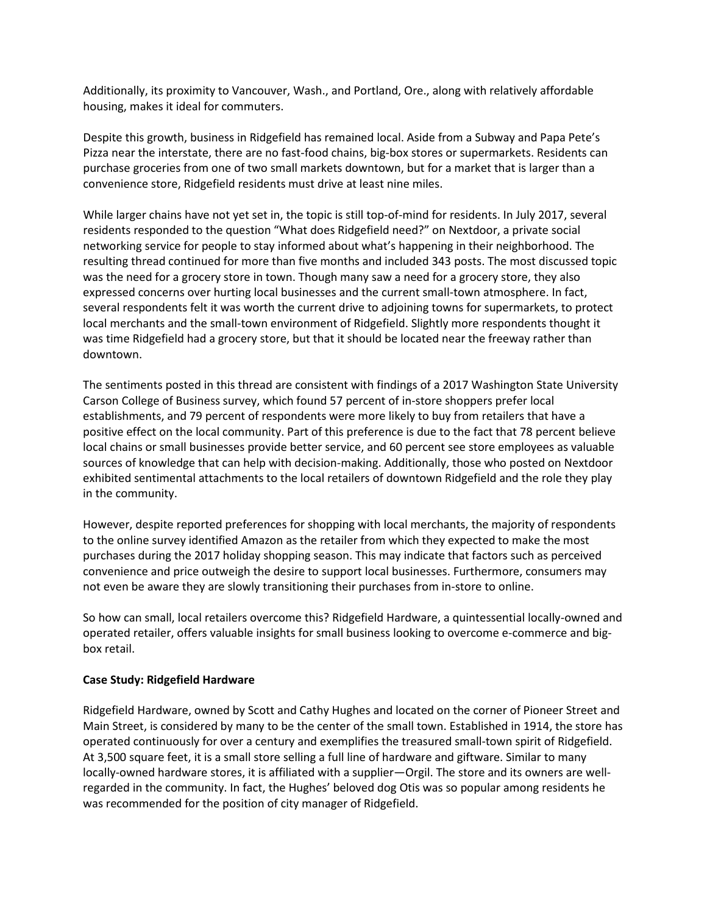Additionally, its proximity to Vancouver, Wash., and Portland, Ore., along with relatively affordable housing, makes it ideal for commuters.

Despite this growth, business in Ridgefield has remained local. Aside from a Subway and Papa Pete's Pizza near the interstate, there are no fast-food chains, big-box stores or supermarkets. Residents can purchase groceries from one of two small markets downtown, but for a market that is larger than a convenience store, Ridgefield residents must drive at least nine miles.

While larger chains have not yet set in, the topic is still top-of-mind for residents. In July 2017, several residents responded to the question "What does Ridgefield need?" on Nextdoor, a private social networking service for people to stay informed about what's happening in their neighborhood. The resulting thread continued for more than five months and included 343 posts. The most discussed topic was the need for a grocery store in town. Though many saw a need for a grocery store, they also expressed concerns over hurting local businesses and the current small-town atmosphere. In fact, several respondents felt it was worth the current drive to adjoining towns for supermarkets, to protect local merchants and the small-town environment of Ridgefield. Slightly more respondents thought it was time Ridgefield had a grocery store, but that it should be located near the freeway rather than downtown.

The sentiments posted in this thread are consistent with findings of a 2017 Washington State University Carson College of Business survey, which found 57 percent of in-store shoppers prefer local establishments, and 79 percent of respondents were more likely to buy from retailers that have a positive effect on the local community. Part of this preference is due to the fact that 78 percent believe local chains or small businesses provide better service, and 60 percent see store employees as valuable sources of knowledge that can help with decision-making. Additionally, those who posted on Nextdoor exhibited sentimental attachments to the local retailers of downtown Ridgefield and the role they play in the community.

However, despite reported preferences for shopping with local merchants, the majority of respondents to the online survey identified Amazon as the retailer from which they expected to make the most purchases during the 2017 holiday shopping season. This may indicate that factors such as perceived convenience and price outweigh the desire to support local businesses. Furthermore, consumers may not even be aware they are slowly transitioning their purchases from in-store to online.

So how can small, local retailers overcome this? Ridgefield Hardware, a quintessential locally-owned and operated retailer, offers valuable insights for small business looking to overcome e-commerce and bigbox retail.

# **Case Study: Ridgefield Hardware**

Ridgefield Hardware, owned by Scott and Cathy Hughes and located on the corner of Pioneer Street and Main Street, is considered by many to be the center of the small town. Established in 1914, the store has operated continuously for over a century and exemplifies the treasured small-town spirit of Ridgefield. At 3,500 square feet, it is a small store selling a full line of hardware and giftware. Similar to many locally-owned hardware stores, it is affiliated with a supplier—Orgil. The store and its owners are wellregarded in the community. In fact, the Hughes' beloved dog Otis was so popular among residents he was recommended for the position of city manager of Ridgefield.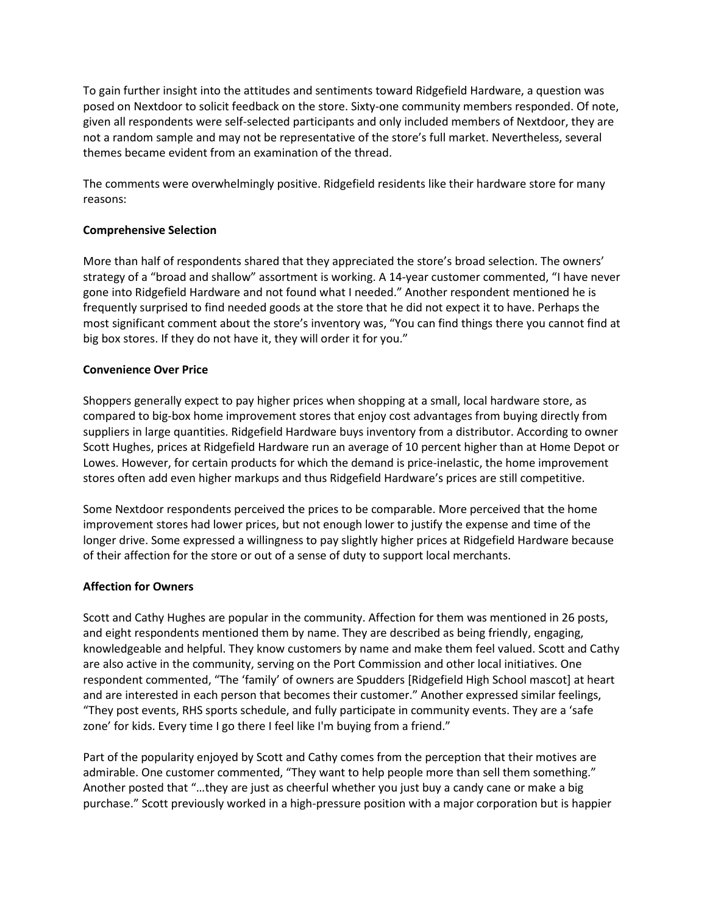To gain further insight into the attitudes and sentiments toward Ridgefield Hardware, a question was posed on Nextdoor to solicit feedback on the store. Sixty-one community members responded. Of note, given all respondents were self-selected participants and only included members of Nextdoor, they are not a random sample and may not be representative of the store's full market. Nevertheless, several themes became evident from an examination of the thread.

The comments were overwhelmingly positive. Ridgefield residents like their hardware store for many reasons:

# **Comprehensive Selection**

More than half of respondents shared that they appreciated the store's broad selection. The owners' strategy of a "broad and shallow" assortment is working. A 14-year customer commented, "I have never gone into Ridgefield Hardware and not found what I needed." Another respondent mentioned he is frequently surprised to find needed goods at the store that he did not expect it to have. Perhaps the most significant comment about the store's inventory was, "You can find things there you cannot find at big box stores. If they do not have it, they will order it for you."

# **Convenience Over Price**

Shoppers generally expect to pay higher prices when shopping at a small, local hardware store, as compared to big-box home improvement stores that enjoy cost advantages from buying directly from suppliers in large quantities. Ridgefield Hardware buys inventory from a distributor. According to owner Scott Hughes, prices at Ridgefield Hardware run an average of 10 percent higher than at Home Depot or Lowes. However, for certain products for which the demand is price-inelastic, the home improvement stores often add even higher markups and thus Ridgefield Hardware's prices are still competitive.

Some Nextdoor respondents perceived the prices to be comparable. More perceived that the home improvement stores had lower prices, but not enough lower to justify the expense and time of the longer drive. Some expressed a willingness to pay slightly higher prices at Ridgefield Hardware because of their affection for the store or out of a sense of duty to support local merchants.

# **Affection for Owners**

Scott and Cathy Hughes are popular in the community. Affection for them was mentioned in 26 posts, and eight respondents mentioned them by name. They are described as being friendly, engaging, knowledgeable and helpful. They know customers by name and make them feel valued. Scott and Cathy are also active in the community, serving on the Port Commission and other local initiatives. One respondent commented, "The 'family' of owners are Spudders [Ridgefield High School mascot] at heart and are interested in each person that becomes their customer." Another expressed similar feelings, "They post events, RHS sports schedule, and fully participate in community events. They are a 'safe zone' for kids. Every time I go there I feel like I'm buying from a friend."

Part of the popularity enjoyed by Scott and Cathy comes from the perception that their motives are admirable. One customer commented, "They want to help people more than sell them something." Another posted that "…they are just as cheerful whether you just buy a candy cane or make a big purchase." Scott previously worked in a high-pressure position with a major corporation but is happier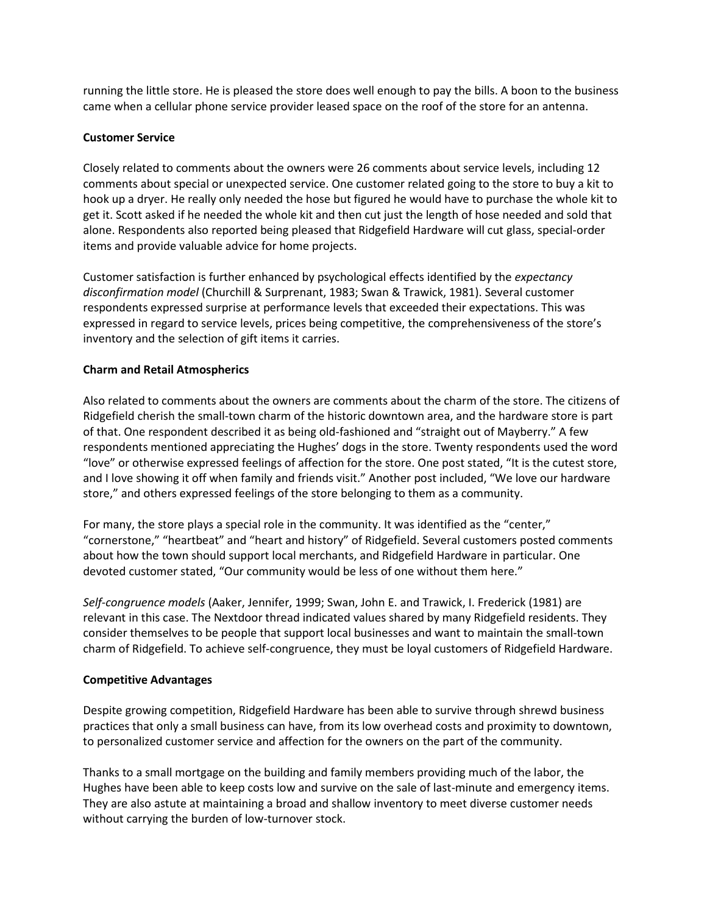running the little store. He is pleased the store does well enough to pay the bills. A boon to the business came when a cellular phone service provider leased space on the roof of the store for an antenna.

#### **Customer Service**

Closely related to comments about the owners were 26 comments about service levels, including 12 comments about special or unexpected service. One customer related going to the store to buy a kit to hook up a dryer. He really only needed the hose but figured he would have to purchase the whole kit to get it. Scott asked if he needed the whole kit and then cut just the length of hose needed and sold that alone. Respondents also reported being pleased that Ridgefield Hardware will cut glass, special-order items and provide valuable advice for home projects.

Customer satisfaction is further enhanced by psychological effects identified by the *expectancy disconfirmation model* (Churchill & Surprenant, 1983; Swan & Trawick, 1981). Several customer respondents expressed surprise at performance levels that exceeded their expectations. This was expressed in regard to service levels, prices being competitive, the comprehensiveness of the store's inventory and the selection of gift items it carries.

# **Charm and Retail Atmospherics**

Also related to comments about the owners are comments about the charm of the store. The citizens of Ridgefield cherish the small-town charm of the historic downtown area, and the hardware store is part of that. One respondent described it as being old-fashioned and "straight out of Mayberry." A few respondents mentioned appreciating the Hughes' dogs in the store. Twenty respondents used the word "love" or otherwise expressed feelings of affection for the store. One post stated, "It is the cutest store, and I love showing it off when family and friends visit." Another post included, "We love our hardware store," and others expressed feelings of the store belonging to them as a community.

For many, the store plays a special role in the community. It was identified as the "center," "cornerstone," "heartbeat" and "heart and history" of Ridgefield. Several customers posted comments about how the town should support local merchants, and Ridgefield Hardware in particular. One devoted customer stated, "Our community would be less of one without them here."

*Self-congruence models* (Aaker, Jennifer, 1999; Swan, John E. and Trawick, I. Frederick (1981) are relevant in this case. The Nextdoor thread indicated values shared by many Ridgefield residents. They consider themselves to be people that support local businesses and want to maintain the small-town charm of Ridgefield. To achieve self-congruence, they must be loyal customers of Ridgefield Hardware.

# **Competitive Advantages**

Despite growing competition, Ridgefield Hardware has been able to survive through shrewd business practices that only a small business can have, from its low overhead costs and proximity to downtown, to personalized customer service and affection for the owners on the part of the community.

Thanks to a small mortgage on the building and family members providing much of the labor, the Hughes have been able to keep costs low and survive on the sale of last-minute and emergency items. They are also astute at maintaining a broad and shallow inventory to meet diverse customer needs without carrying the burden of low-turnover stock.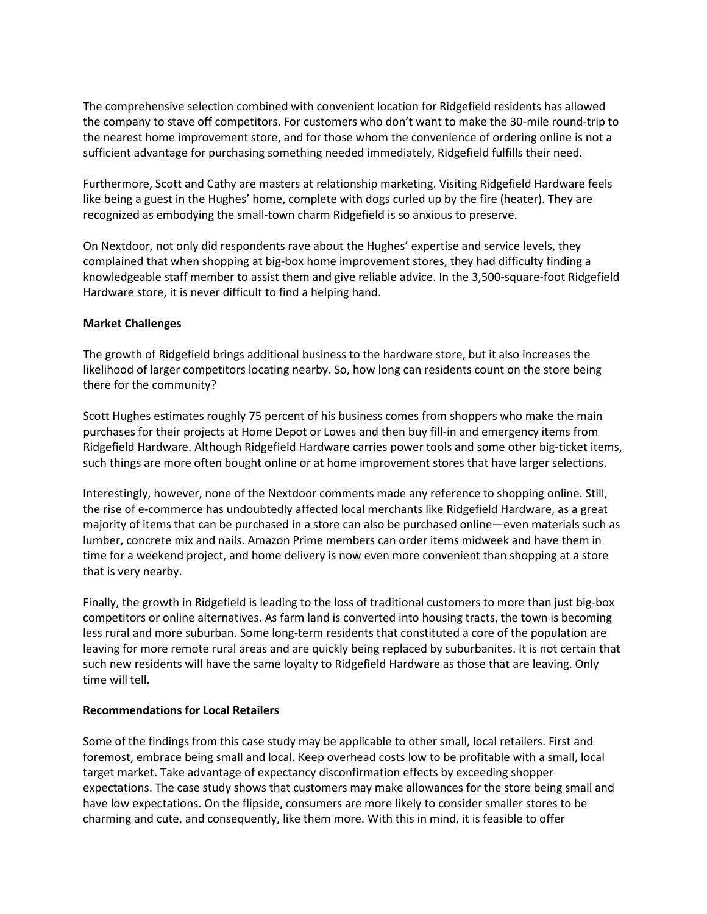The comprehensive selection combined with convenient location for Ridgefield residents has allowed the company to stave off competitors. For customers who don't want to make the 30-mile round-trip to the nearest home improvement store, and for those whom the convenience of ordering online is not a sufficient advantage for purchasing something needed immediately, Ridgefield fulfills their need.

Furthermore, Scott and Cathy are masters at relationship marketing. Visiting Ridgefield Hardware feels like being a guest in the Hughes' home, complete with dogs curled up by the fire (heater). They are recognized as embodying the small-town charm Ridgefield is so anxious to preserve.

On Nextdoor, not only did respondents rave about the Hughes' expertise and service levels, they complained that when shopping at big-box home improvement stores, they had difficulty finding a knowledgeable staff member to assist them and give reliable advice. In the 3,500-square-foot Ridgefield Hardware store, it is never difficult to find a helping hand.

#### **Market Challenges**

The growth of Ridgefield brings additional business to the hardware store, but it also increases the likelihood of larger competitors locating nearby. So, how long can residents count on the store being there for the community?

Scott Hughes estimates roughly 75 percent of his business comes from shoppers who make the main purchases for their projects at Home Depot or Lowes and then buy fill-in and emergency items from Ridgefield Hardware. Although Ridgefield Hardware carries power tools and some other big-ticket items, such things are more often bought online or at home improvement stores that have larger selections.

Interestingly, however, none of the Nextdoor comments made any reference to shopping online. Still, the rise of e-commerce has undoubtedly affected local merchants like Ridgefield Hardware, as a great majority of items that can be purchased in a store can also be purchased online—even materials such as lumber, concrete mix and nails. Amazon Prime members can order items midweek and have them in time for a weekend project, and home delivery is now even more convenient than shopping at a store that is very nearby.

Finally, the growth in Ridgefield is leading to the loss of traditional customers to more than just big-box competitors or online alternatives. As farm land is converted into housing tracts, the town is becoming less rural and more suburban. Some long-term residents that constituted a core of the population are leaving for more remote rural areas and are quickly being replaced by suburbanites. It is not certain that such new residents will have the same loyalty to Ridgefield Hardware as those that are leaving. Only time will tell.

#### **Recommendations for Local Retailers**

Some of the findings from this case study may be applicable to other small, local retailers. First and foremost, embrace being small and local. Keep overhead costs low to be profitable with a small, local target market. Take advantage of expectancy disconfirmation effects by exceeding shopper expectations. The case study shows that customers may make allowances for the store being small and have low expectations. On the flipside, consumers are more likely to consider smaller stores to be charming and cute, and consequently, like them more. With this in mind, it is feasible to offer